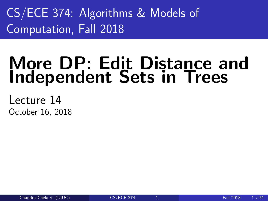<span id="page-0-0"></span>CS/ECE 374: Algorithms & Models of Computation, Fall 2018

# More DP: Edit Distance and Independent Sets in Trees

Lecture 14 October 16, 2018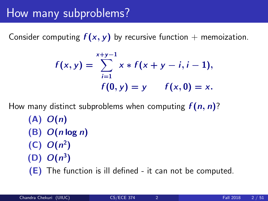## How many subproblems?

Consider computing  $f(x, y)$  by recursive function + memoization.

$$
f(x,y) = \sum_{i=1}^{x+y-1} x * f(x+y-i, i-1),
$$
  
 
$$
f(0,y) = y \qquad f(x,0) = x.
$$

How many distinct subproblems when computing  $f(n, n)$ ?

- $(A)$   $O(n)$  $(B)$   $O(n \log n)$
- $(C)$   $O(n^2)$
- $(D)$   $O(n^3)$

(E) The function is ill defined - it can not be computed.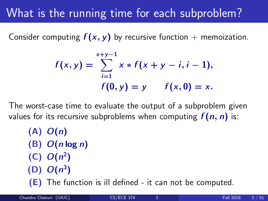# What is the running time for each subproblem?

Consider computing  $f(x, y)$  by recursive function + memoization.

$$
f(x,y) = \sum_{i=1}^{x+y-1} x * f(x+y-i, i-1),
$$
  
 
$$
f(0,y) = y \qquad f(x,0) = x.
$$

The worst-case time to evaluate the output of a subproblem given values for its recursive subproblems when computing  $f(n, n)$  is:

 $(A)$   $O(n)$  $(B)$   $O(n \log n)$  $(C)$   $O(n^2)$  $(D)$   $O(n^3)$ (E) The function is ill defined - it can not be computed.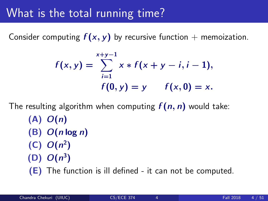## What is the total running time?

Consider computing  $f(x, y)$  by recursive function + memoization.

$$
f(x,y) = \sum_{i=1}^{x+y-1} x * f(x+y-i, i-1),
$$
  
 
$$
f(0,y) = y \qquad f(x,0) = x.
$$

The resulting algorithm when computing  $f(n, n)$  would take:  $(A)$   $O(n)$  $(B)$   $O(n \log n)$  $(C)$   $O(n^2)$  $(D)$   $O(n^3)$ (E) The function is ill defined - it can not be computed.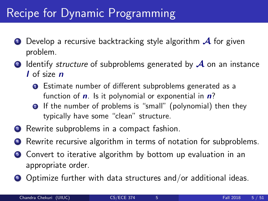# Recipe for Dynamic Programming

- $\bullet$  Develop a recursive backtracking style algorithm  $\mathcal A$  for given problem.
- **2** Identify *structure* of subproblems generated by  $\mathcal A$  on an instance I of size **n** 
	- **O** Estimate number of different subproblems generated as a function of  $\boldsymbol{n}$ . Is it polynomial or exponential in  $\boldsymbol{n}$ ?
	- **2** If the number of problems is "small" (polynomial) then they typically have some "clean" structure.
- <sup>3</sup> Rewrite subproblems in a compact fashion.
- Rewrite recursive algorithm in terms of notation for subproblems.
- **Convert to iterative algorithm by bottom up evaluation in an** appropriate order.
- <sup>6</sup> Optimize further with data structures and/or additional ideas.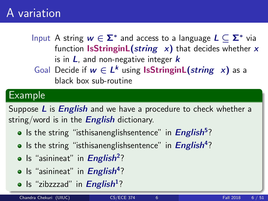## A variation

Input A string  $w \in \mathbf{\Sigma}^*$  and access to a language  $L \subseteq \mathbf{\Sigma}^*$  via function IsStringinL(string  $x$ ) that decides whether x is in  $L$ , and non-negative integer  $k$ Goal Decide if  $w \in L^k$  using **IsStringinL**(string x) as a black box sub-routine

#### Example

Suppose L is *English* and we have a procedure to check whether a string/word is in the **English** dictionary.

- Is the string "isthisanenglishsentence" in *English*<sup>5</sup>?
- Is the string "isthisanenglishsentence" in *English*<sup>4</sup>?
- Is "asinineat" in *English*<sup>2</sup>?
- Is "asinineat" in *English*<sup>4</sup>?
- Is "zibzzzad" in English<sup>1</sup>?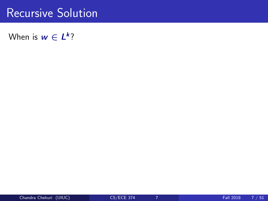### Recursive Solution

When is  $w \in L^k$ ?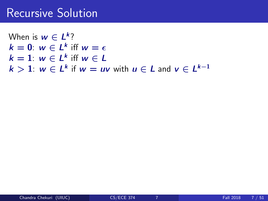### Recursive Solution

When is  $w \in L^k$ ?  $k = 0$ :  $w \in L^k$  iff  $w = \epsilon$  $k=1$ :  $w \in L^k$  iff  $w \in L$  $k > 1$ :  $w \in L^k$  if  $w = uv$  with  $u \in L$  and  $v \in L^{k-1}$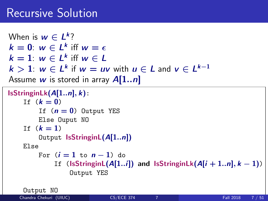### Recursive Solution

```
When is w \in L^k?
k = 0: w \in L^k iff w = \epsilonk=1: w \in L^k iff w \in Lk > 1: w \in L^k if w = uv with u \in L and v \in L^{k-1}Assume w is stored in array A[1..n]IsStringinLk(A[1..n], k):
    If (k = 0)If (n = 0) Output YES
        Else Ouput NO
    If (k = 1)Output IsStringinL(A[1..n])
    Else
        For (i = 1 to n - 1) do
             If (IsStringinL(A[1..i]) and IsStringinLk(A[i + 1..n], k - 1))
                 Output YES
```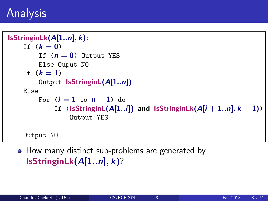```
IsStringinLk(A[1..n], k):
    If (k = 0)If (n = 0) Output YES
        Else Ouput NO
    If (k = 1)Output IsStringinL(A[1..n])
    Else
        For (i = 1 to n - 1) do
             If (IsStringinL(A[1..i]) and IsStringinLk(A[i + 1..n], k - 1))
                 Output YES
    Output NO
```
• How many distinct sub-problems are generated by  $IsStringinLk(A[1..n], k)?$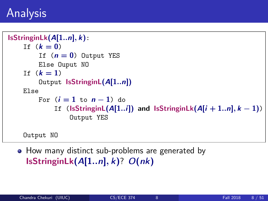```
IsStringinLk(A[1..n], k):
    If (k = 0)If (n = 0) Output YES
        Else Ouput NO
    If (k = 1)Output IsStringinL(A[1..n])
    Else
        For (i = 1 to n - 1) do
             If (IsStringinL(A[1..i]) and IsStringinLk(A[i + 1..n], k - 1))
                 Output YES
    Output NO
```
• How many distinct sub-problems are generated by IsStringinLk( $A[1..n], k$ )?  $O(nk)$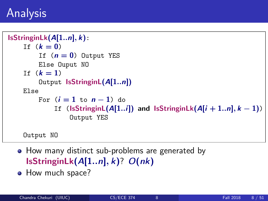```
IsStringinLk(A[1..n], k):
    If (k = 0)If (n = 0) Output YES
        Else Ouput NO
    If (k = 1)Output IsStringinL(A[1..n])
    Else
        For (i = 1 to n - 1) do
             If (IsStringinL(A[1..i]) and IsStringinLk(A[i + 1..n], k - 1))
                 Output YES
```
- How many distinct sub-problems are generated by IsStringinLk( $A[1..n], k$ )?  $O(nk)$
- How much space?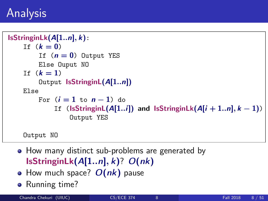```
IsStringinLk(A[1..n], k):
    If (k = 0)If (n = 0) Output YES
        Else Ouput NO
    If (k = 1)Output IsStringinL(A[1..n])
    Else
        For (i = 1 to n - 1) do
             If (IsStringinL(A[1..i]) and IsStringinLk(A[i + 1..n], k - 1))
                 Output YES
```
- How many distinct sub-problems are generated by IsStringinLk( $A[1..n], k$ )?  $O(nk)$
- $\bullet$  How much space?  $O(nk)$  pause
- Running time?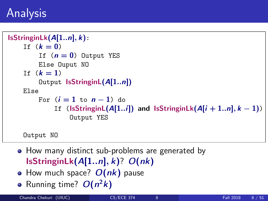```
IsStringinLk(A[1..n], k):
    If (k = 0)If (n = 0) Output YES
        Else Ouput NO
    If (k = 1)Output IsStringinL(A[1..n])
    Else
        For (i = 1 to n - 1) do
             If (IsStringinL(A[1..i]) and IsStringinLk(A[i + 1..n], k - 1))
                 Output YES
```
- How many distinct sub-problems are generated by IsStringinLk( $A[1..n], k$ )?  $O(nk)$
- How much space?  $O(nk)$  pause
- Running time?  $O(n^2k)$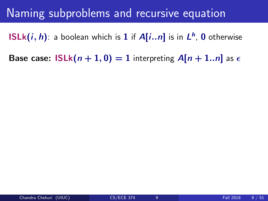### Naming subproblems and recursive equation

 $\mathsf{ISLk}(i,h)$ : a boolean which is  $1$  if  $\mathsf{A}[i..n]$  is in  $\mathsf{L}^h$ ,  $0$  otherwise

Base case:  $ISLk(n + 1, 0) = 1$  interpreting  $A[n + 1..n]$  as  $\epsilon$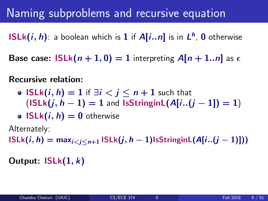## Naming subproblems and recursive equation

 $\mathsf{ISLk}(i,h)$ : a boolean which is  $1$  if  $\mathsf{A}[i..n]$  is in  $\mathsf{L}^h$ ,  $0$  otherwise

Base case:  $ISLk(n + 1, 0) = 1$  interpreting  $A[n + 1..n]$  as  $\epsilon$ 

Recursive relation:

• ISLk $(i, h) = 1$  if  $\exists i < j \le n+1$  such that  $(ISLk(j, h - 1) = 1$  and  $IsStringinL(A[i..(i - 1]) = 1)$ 

• 
$$
ISLk(i, h) = 0
$$
 otherwise

Alternately:

 $ISLk(i, h) = max_{i \leq j \leq n+1} ISLk(j, h-1)$ IsStringinL $(A[i..(j-1)]$ )

Output:  $ISLk(1, k)$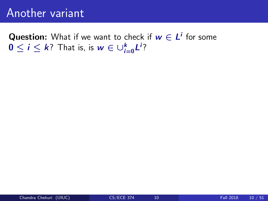### Another variant

**Question:** What if we want to check if  $w \in L^i$  for some  $0 \leq i \leq k$ ? That is, is  $w \in \cup_{i=0}^k L^i$ ?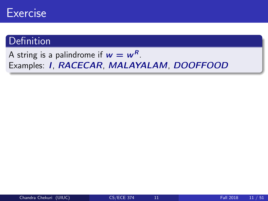

### **Definition**

#### A string is a palindrome if  $w = w^R$ . Examples: I, RACECAR, MALAYALAM, DOOFFOOD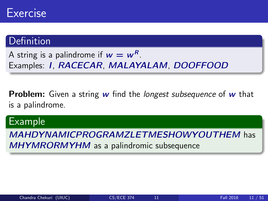### Definition

A string is a palindrome if  $w = w^R$ . Examples: I, RACECAR, MALAYALAM, DOOFFOOD

**Problem:** Given a string  $w$  find the *longest subsequence* of  $w$  that is a palindrome.

#### Example

MAHDYNAMICPROGRAMZLETMESHOWYOUTHEM has MHYMRORMYHM as a palindromic subsequence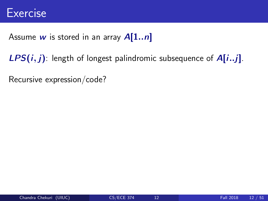#### Assume w is stored in an array  $A[1..n]$

 $LPS(i, j)$ : length of longest palindromic subsequence of  $A[i..j]$ .

Recursive expression/code?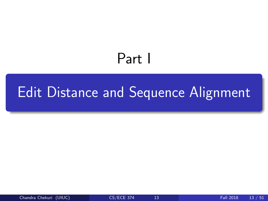# Part I

# <span id="page-20-0"></span>[Edit Distance and Sequence Alignment](#page-20-0)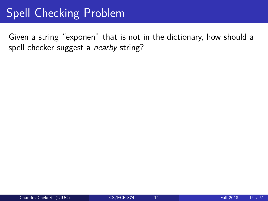# Spell Checking Problem

Given a string "exponen" that is not in the dictionary, how should a spell checker suggest a nearby string?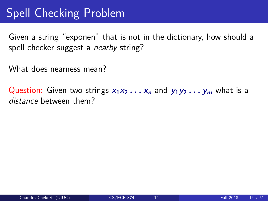# Spell Checking Problem

Given a string "exponen" that is not in the dictionary, how should a spell checker suggest a *nearby* string?

What does nearness mean?

Question: Given two strings  $x_1x_2 \ldots x_n$  and  $y_1y_2 \ldots y_m$  what is a distance between them?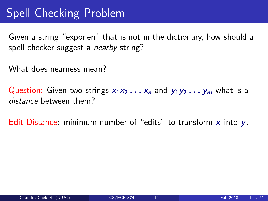# Spell Checking Problem

Given a string "exponen" that is not in the dictionary, how should a spell checker suggest a *nearby* string?

What does nearness mean?

Question: Given two strings  $x_1x_2 \ldots x_n$  and  $y_1y_2 \ldots y_m$  what is a distance between them?

Edit Distance: minimum number of "edits" to transform  $x$  into  $y$ .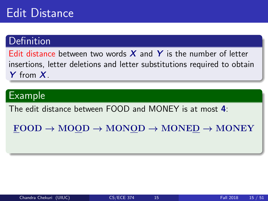### Edit Distance

### **Definition**

Edit distance between two words  $X$  and  $Y$  is the number of letter insertions, letter deletions and letter substitutions required to obtain Y from X.

### Example

The edit distance between FOOD and MONEY is at most 4:

 $FOOD \rightarrow MOOD \rightarrow MONOD \rightarrow MONED \rightarrow MONEY$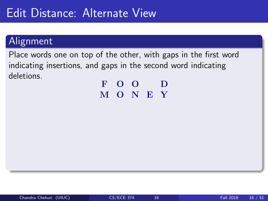## Edit Distance: Alternate View

### Alignment

Place words one on top of the other, with gaps in the first word indicating insertions, and gaps in the second word indicating deletions.

F O O D M O N E Y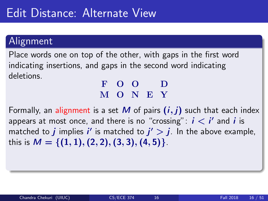## Edit Distance: Alternate View

### Alignment

Place words one on top of the other, with gaps in the first word indicating insertions, and gaps in the second word indicating deletions.

#### F O O D M O N E Y

Formally, an alignment is a set M of pairs  $(i, j)$  such that each index appears at most once, and there is no "crossing":  $i < i'$  and  $i$  is matched to  $j$  implies  $i'$  is matched to  $j' > j$ . In the above example, this is  $M = \{(1, 1), (2, 2), (3, 3), (4, 5)\}.$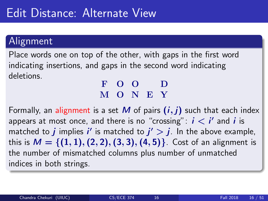### Alignment

Place words one on top of the other, with gaps in the first word indicating insertions, and gaps in the second word indicating deletions.

#### F O O D M O N E Y

Formally, an alignment is a set M of pairs  $(i, j)$  such that each index appears at most once, and there is no "crossing":  $i < i'$  and  $i$  is matched to  $j$  implies  $i'$  is matched to  $j' > j$ . In the above example, this is  $M = \{(1, 1), (2, 2), (3, 3), (4, 5)\}\)$ . Cost of an alignment is the number of mismatched columns plus number of unmatched indices in both strings.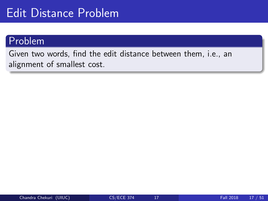## Edit Distance Problem

#### Problem

Given two words, find the edit distance between them, i.e., an alignment of smallest cost.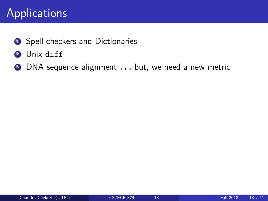# Applications

- **1** Spell-checkers and Dictionaries
- <sup>2</sup> Unix diff
- **3** DNA sequence alignment . . . but, we need a new metric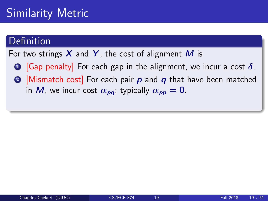# Similarity Metric

#### Definition

For two strings  $X$  and  $Y$ , the cost of alignment M is

- **1** [Gap penalty] For each gap in the alignment, we incur a cost  $\delta$ .
- **2** [Mismatch cost] For each pair  $p$  and  $q$  that have been matched in M, we incur cost  $\alpha_{pq}$ ; typically  $\alpha_{pp} = 0$ .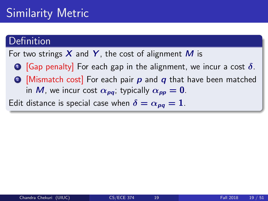# Similarity Metric

#### Definition

For two strings  $X$  and  $Y$ , the cost of alignment M is

- **1** [Gap penalty] For each gap in the alignment, we incur a cost  $\delta$ .
- **2** [Mismatch cost] For each pair  $p$  and  $q$  that have been matched in M, we incur cost  $\alpha_{\text{p}q}$ ; typically  $\alpha_{\text{p}p} = 0$ .

Edit distance is special case when  $\delta = \alpha_{\text{no}} = 1$ .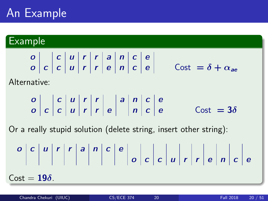# An Example

#### Example

o c u r r a n c e

Alternative:

o c u r r a n c e o c c u r r e n c e Cost = 3δ

Or a really stupid solution (delete string, insert other string):

o c u r r a n c e o c c u r r e n c e Cost = 19δ.

 $= \delta + \alpha_{ee}$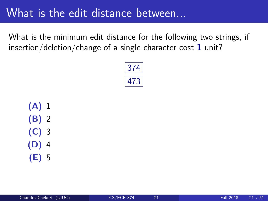## What is the edit distance between...

What is the minimum edit distance for the following two strings, if insertion/deletion/change of a single character cost  $1$  unit?



(A) 1 (B) 2 (C) 3 (D) 4 (E) 5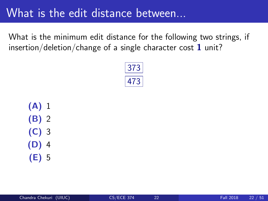## What is the edit distance between...

What is the minimum edit distance for the following two strings, if insertion/deletion/change of a single character cost  $1$  unit?



(A) 1 (B) 2 (C) 3 (D) 4 (E) 5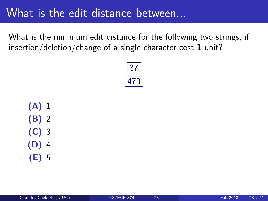## What is the edit distance between...

What is the minimum edit distance for the following two strings, if insertion/deletion/change of a single character cost  $1$  unit?



(A) 1 (B) 2 (C) 3 (D) 4 (E) 5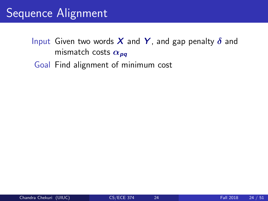# Sequence Alignment

- Input Given two words X and Y, and gap penalty  $\delta$  and mismatch costs  $\alpha_{pq}$ 
	- Goal Find alignment of minimum cost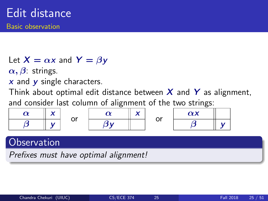Let  $X = \alpha x$  and  $Y = \beta y$ 

 $\alpha, \beta$ : strings.

 $x$  and  $y$  single characters.

Think about optimal edit distance between  $X$  and  $Y$  as alignment.

and consider last column of alignment of the two strings:

|  | . | . . | - - | $\sim$ $\vee$ |  |
|--|---|-----|-----|---------------|--|
|  |   |     |     |               |  |

### **Observation**

Prefixes must have optimal alignment!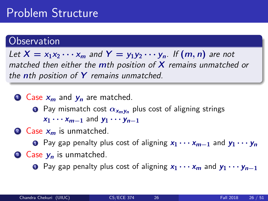# Problem Structure

#### **Observation**

Let  $X = x_1x_2 \cdots x_m$  and  $Y = y_1y_2 \cdots y_n$ . If  $(m, n)$  are not matched then either the  $m$ th position of  $X$  remains unmatched or the nth position of  $Y$  remains unmatched.

 $\bullet$  Case  $x_m$  and  $y_n$  are matched.

- **1** Pay mismatch cost  $\alpha_{x_m y_n}$  plus cost of aligning strings  $x_1 \cdots x_{m-1}$  and  $y_1 \cdots y_{n-1}$
- $\bullet$  Case  $x_m$  is unmatched.

**1** Pay gap penalty plus cost of aligning  $x_1 \cdots x_{m-1}$  and  $y_1 \cdots y_n$ 

- $\bullet$  Case  $y_n$  is unmatched.
	- **1** Pay gap penalty plus cost of aligning  $x_1 \cdots x_m$  and  $y_1 \cdots y_{n-1}$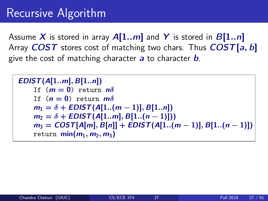# Recursive Algorithm

Assume X is stored in array  $A[1..m]$  and Y is stored in  $B[1..n]$ Array  $COST$  stores cost of matching two chars. Thus  $COST[a, b]$ give the cost of matching character  $a$  to character  $b$ .

```
EDIST(A[1..m], B[1..n])If (m = 0) return n\deltaIf (n = 0) return m\deltam_1 = \delta + EDIST(A[1..(m-1)], B[1..n])m_2 = \delta + EDIST(A[1..m], B[1..(n-1)]))m_3 = COST[A[m], B[n]] + EDIST(A[1..(m-1)], B[1..(n-1)])return \min(m_1, m_2, m_3)
```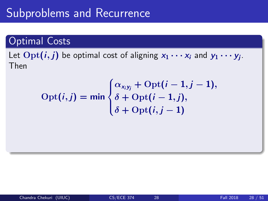# Subproblems and Recurrence

#### Optimal Costs

Let  $\mathrm{Opt}(i,j)$  be optimal cost of aligning  $x_1 \cdots x_i$  and  $y_1 \cdots y_j$ . Then

$$
Opt(i,j) = min \begin{cases} \alpha_{x_iy_j} + Opt(i-1,j-1), \\ \delta + Opt(i-1,j), \\ \delta + Opt(i,j-1) \end{cases}
$$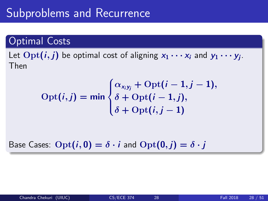# Subproblems and Recurrence

#### Optimal Costs

Let  $\mathrm{Opt}(i,j)$  be optimal cost of aligning  $x_1 \cdots x_i$  and  $y_1 \cdots y_j$ . Then

$$
Opt(i,j) = min \begin{cases} \alpha_{x_iy_j} + Opt(i-1,j-1), \\ \delta + Opt(i-1,j), \\ \delta + Opt(i,j-1) \end{cases}
$$

Base Cases:  $\text{Opt}(i, 0) = \delta \cdot i$  and  $\text{Opt}(0, i) = \delta \cdot i$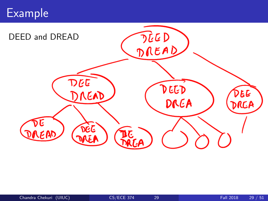# Example

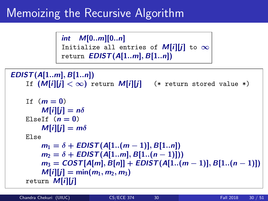# Memoizing the Recursive Algorithm

int M[0..m][0..n] Initialize all entries of  $M[i][j]$  to  $\infty$ return  $EDIST(A[1..m], B[1..n])$ 

```
EDIST(A[1..m], B[1..n])If (M[i][j] < \infty) return M[i][j] (* return stored value *)
If (m=0)M[i][j] = n\deltaElseIf (n = 0)M[i][j] = m\deltaElse
    m_1 = \delta + \text{EDIST}(A[1..(m-1)], B[1..n])m_2 = \delta + EDIST(A[1..m], B[1..(n-1)]))m_3 = COST[A[m], B[n]] + EDIST(A[1..(m-1)], B[1..(n-1)])M[i][j] = min(m_1, m_2, m_3)return M[i][j]
```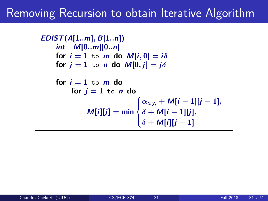# Removing Recursion to obtain Iterative Algorithm

```
EDIST(A[1..m], B[1..n])int M[0..m][0..n]
for i = 1 to m do M[i, 0] = i\deltafor j = 1 to n do M[0, j] = j\deltafor i = 1 to m do
      for j = 1 to n do
           M[i][j] = min\sqrt{ }\int\mathcal{L}\alpha_{x_i y_j} + \mathcal{M}[i-1][j-1],\delta + M[i-1][j],\delta + M[i][j-1]
```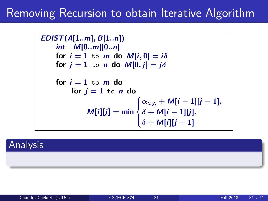# Removing Recursion to obtain Iterative Algorithm

```
EDIST(A[1..m], B[1..n])int M[0..m][0..n]
for i = 1 to m do M[i, 0] = i\deltafor j = 1 to n do M[0, j] = j\deltafor i = 1 to m do
      for j = 1 to n do
           M[i][j] = min\sqrt{ }\int\mathcal{L}\alpha_{x_i y_j} + \mathcal{M}[i-1][j-1],\delta + M[i-1][j],\delta + M[i][j-1]
```
Analysis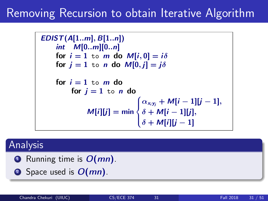# Removing Recursion to obtain Iterative Algorithm

```
EDIST(A[1..m], B[1..n])
int M[0..m][0..n]
for i = 1 to m do M[i, 0] = i\deltafor j = 1 to n do M[0, j] = j\deltafor i = 1 to m do
      for j = 1 to n do
           M[i][j] = min\sqrt{ }\int\mathcal{L}\alpha_{x_i y_j} + \mathcal{M}[i-1][j-1],\delta + M[i-1][j],\delta + M[i][j-1]
```
### Analysis

**Q** Running time is  $O(mn)$ .

**2** Space used is  $O(mn)$ .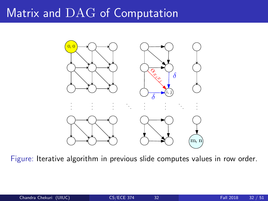# Matrix and DAG of Computation



Figure: Iterative algorithm in previous slide computes values in row order.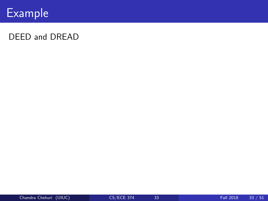

#### DEED and DREAD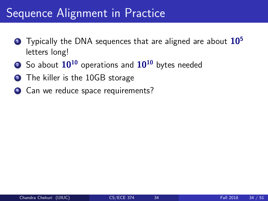# Sequence Alignment in Practice

- **1** Typically the DNA sequences that are aligned are about  $10<sup>5</sup>$ letters long!
- $\bullet$  So about  $10^{10}$  operations and  $10^{10}$  bytes needed
- **3** The killer is the 10GB storage
- <sup>4</sup> Can we reduce space requirements?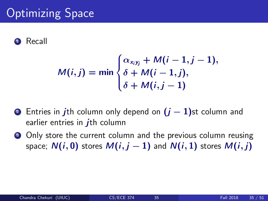# **Optimizing Space**

#### **Recall**

$$
M(i,j) = \min \begin{cases} \alpha_{x_iy_j} + M(i-1,j-1), \\ \delta + M(i-1,j), \\ \delta + M(i,j-1) \end{cases}
$$

- 2 Entries in jth column only depend on  $(j-1)$ st column and earlier entries in  $i$ th column
- <sup>3</sup> Only store the current column and the previous column reusing space;  $N(i, 0)$  stores  $M(i, j - 1)$  and  $N(i, 1)$  stores  $M(i, j)$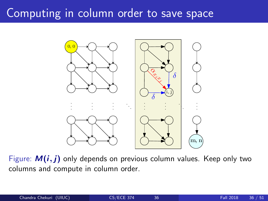# Computing in column order to save space



Figure:  $M(i, j)$  only depends on previous column values. Keep only two columns and compute in column order.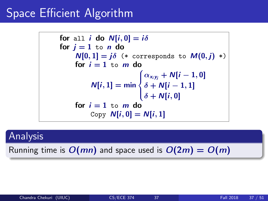# Space Efficient Algorithm

for all *i* do 
$$
N[i, 0] = i\delta
$$
  
\nfor  $j = 1$  to *n* do  
\n $N[0, 1] = j\delta$  (\* corresponds to  $M(0, j) *)$   
\nfor  $i = 1$  to *m* do  
\n $N[i, 1] = \min \begin{cases} \alpha_{x_i y_j} + N[i - 1, 0] \\ \delta + N[i - 1, 1] \\ \delta + N[i, 0] \end{cases}$   
\nfor  $i = 1$  to *m* do  
\nCopy  $N[i, 0] = N[i, 1]$ 

### Analysis

Running time is  $O(mn)$  and space used is  $O(2m) = O(m)$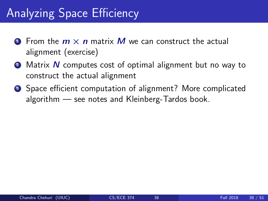# Analyzing Space Efficiency

- **O** From the  $m \times n$  matrix M we can construct the actual alignment (exercise)
- **2** Matrix N computes cost of optimal alignment but no way to construct the actual alignment
- Space efficient computation of alignment? More complicated algorithm — see notes and Kleinberg-Tardos book.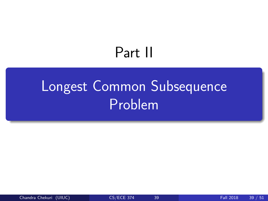# Part II

# <span id="page-54-0"></span>[Longest Common Subsequence](#page-54-0) [Problem](#page-54-0)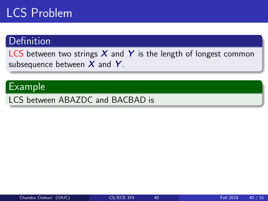# LCS Problem

### **Definition**

LCS between two strings  $X$  and  $Y$  is the length of longest common subsequence between  $X$  and  $Y$ .

### Example

LCS between ABAZDC and BACBAD is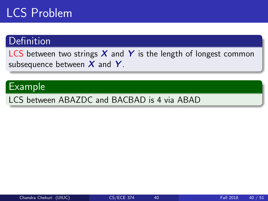# LCS Problem

### **Definition**

LCS between two strings  $X$  and  $Y$  is the length of longest common subsequence between  $X$  and  $Y$ .

#### Example

LCS between ABAZDC and BACBAD is 4 via ABAD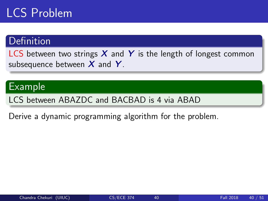# LCS Problem

### Definition

LCS between two strings  $X$  and Y is the length of longest common subsequence between  $X$  and  $Y$ .

#### Example

LCS between ABAZDC and BACBAD is 4 via ABAD

Derive a dynamic programming algorithm for the problem.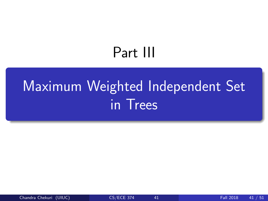# Part III

# <span id="page-58-0"></span>[Maximum Weighted Independent Set](#page-58-0) [in Trees](#page-58-0)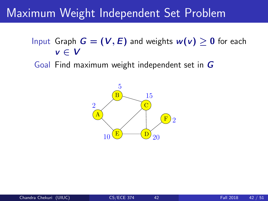# Maximum Weight Independent Set Problem

- Input Graph  $G = (V, E)$  and weights  $w(v) \geq 0$  for each  $v \in V$
- Goal Find maximum weight independent set in G

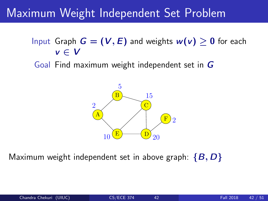# Maximum Weight Independent Set Problem

- Input Graph  $G = (V, E)$  and weights  $w(v) > 0$  for each  $v \in V$
- Goal Find maximum weight independent set in G



Maximum weight independent set in above graph:  $\{B, D\}$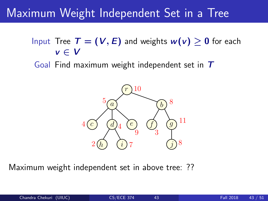# Maximum Weight Independent Set in a Tree

Input Tree  $T = (V, E)$  and weights  $w(v) > 0$  for each  $v \in V$ 

Goal Find maximum weight independent set in  $T$ 



Maximum weight independent set in above tree: ??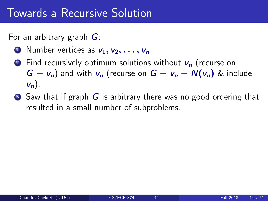For an arbitrary graph  $G$ :

- **1** Number vertices as  $v_1, v_2, \ldots, v_n$
- **2** Find recursively optimum solutions without  $v_n$  (recurse on  $G - v_n$ ) and with  $v_n$  (recurse on  $G - v_n - N(v_n)$  & include  $\mathsf{v}_n$ ).
- $\bullet$  Saw that if graph G is arbitrary there was no good ordering that resulted in a small number of subproblems.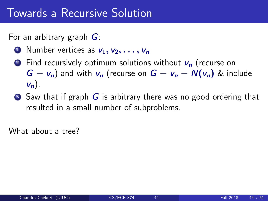For an arbitrary graph  $G$ :

- **1** Number vertices as  $v_1, v_2, \ldots, v_n$
- **2** Find recursively optimum solutions without  $v_n$  (recurse on  $G - v_n$ ) and with  $v_n$  (recurse on  $G - v_n - N(v_n)$  & include  $\mathsf{v}_n$ ).
- $\bullet$  Saw that if graph G is arbitrary there was no good ordering that resulted in a small number of subproblems.

What about a tree?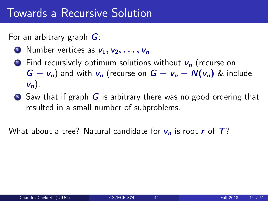For an arbitrary graph  $G$ :

- **1** Number vertices as  $v_1, v_2, \ldots, v_n$
- **2** Find recursively optimum solutions without  $v_n$  (recurse on  $G - v_n$ ) and with  $v_n$  (recurse on  $G - v_n - N(v_n)$  & include  $\mathsf{v}_n$ ).
- $\bullet$  Saw that if graph G is arbitrary there was no good ordering that resulted in a small number of subproblems.

What about a tree? Natural candidate for  $v_n$  is root r of  $T$ ?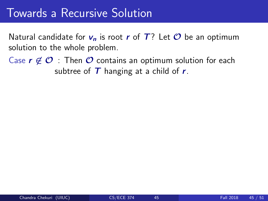Natural candidate for  $v_n$  is root r of T? Let  $\mathcal O$  be an optimum solution to the whole problem.

Case  $r \notin \mathcal{O}$  : Then  $\mathcal O$  contains an optimum solution for each subtree of  $T$  hanging at a child of  $r$ .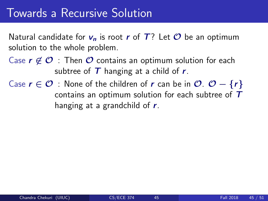Natural candidate for  $v_n$  is root r of T? Let  $\mathcal O$  be an optimum solution to the whole problem.

- Case  $r \notin \mathcal{O}$  : Then  $\mathcal O$  contains an optimum solution for each subtree of  $T$  hanging at a child of  $r$ .
- Case  $r \in \mathcal{O}$  : None of the children of r can be in  $\mathcal{O}$ .  $\mathcal{O} \{r\}$ contains an optimum solution for each subtree of  $T$ hanging at a grandchild of  $r$ .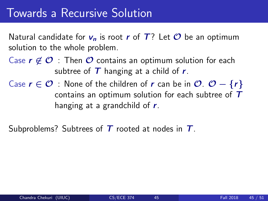Natural candidate for  $v_n$  is root r of T? Let  $\mathcal O$  be an optimum solution to the whole problem.

- Case  $r \notin \mathcal{O}$  : Then  $\mathcal O$  contains an optimum solution for each subtree of  $T$  hanging at a child of  $r$ .
- Case  $r \in \mathcal{O}$  : None of the children of r can be in  $\mathcal{O}$ .  $\mathcal{O} \{r\}$ contains an optimum solution for each subtree of  $T$ hanging at a grandchild of  $r$ .

Subproblems? Subtrees of  $T$  rooted at nodes in  $T$ .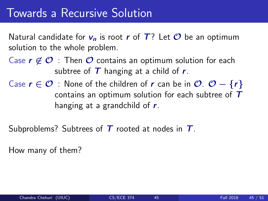Natural candidate for  $v_n$  is root r of T? Let  $\mathcal O$  be an optimum solution to the whole problem.

- Case  $r \notin \mathcal{O}$  : Then  $\mathcal O$  contains an optimum solution for each subtree of  $T$  hanging at a child of  $r$ .
- Case  $r \in \mathcal{O}$  : None of the children of r can be in  $\mathcal{O}$ .  $\mathcal{O} \{r\}$ contains an optimum solution for each subtree of  $T$ hanging at a grandchild of  $r$ .

Subproblems? Subtrees of  $T$  rooted at nodes in  $T$ .

How many of them?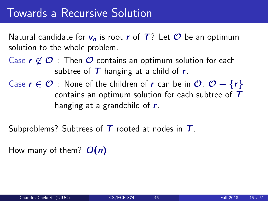Natural candidate for  $v_n$  is root r of T? Let  $\mathcal O$  be an optimum solution to the whole problem.

- Case  $r \notin \mathcal{O}$  : Then  $\mathcal O$  contains an optimum solution for each subtree of  $T$  hanging at a child of  $r$ .
- Case  $r \in \mathcal{O}$  : None of the children of r can be in  $\mathcal{O}$ .  $\mathcal{O} \{r\}$ contains an optimum solution for each subtree of  $T$ hanging at a grandchild of  $r$ .

Subproblems? Subtrees of  $T$  rooted at nodes in  $T$ .

How many of them?  $O(n)$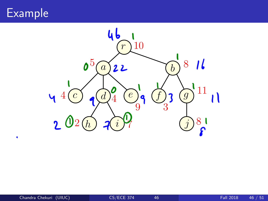Example

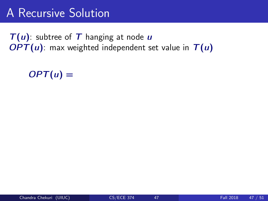# A Recursive Solution

 $T(u)$ : subtree of T hanging at node u  $OPT(u)$ : max weighted independent set value in  $T(u)$ 

 $OPT(u) =$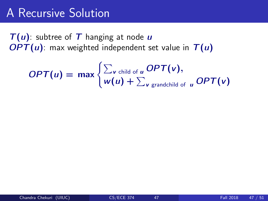# A Recursive Solution

 $T(u)$ : subtree of T hanging at node u  $OPT(u)$ : max weighted independent set value in  $T(u)$ 

$$
OPT(u) = \max \begin{cases} \sum_{v \text{ child of } u} OPT(v), \\ w(u) + \sum_{v \text{ grandchild of } u} OPT(v) \end{cases}
$$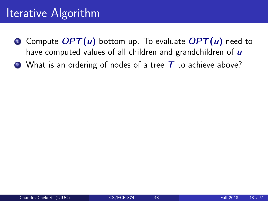- **O** Compute  $OPT(u)$  bottom up. To evaluate  $OPT(u)$  need to have computed values of all children and grandchildren of  $\boldsymbol{u}$
- $\bullet$  What is an ordering of nodes of a tree T to achieve above?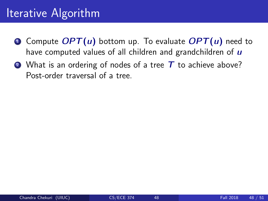- **O** Compute  $OPT(u)$  bottom up. To evaluate  $OPT(u)$  need to have computed values of all children and grandchildren of  $\boldsymbol{u}$
- $\bullet$  What is an ordering of nodes of a tree T to achieve above? Post-order traversal of a tree.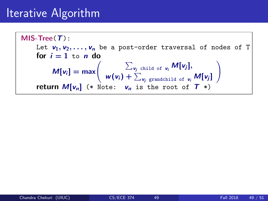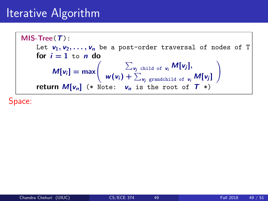MIS-Tree(T): Let  $v_1, v_2, \ldots, v_n$  be a post-order traversal of nodes of T for  $i = 1$  to n do  $M[v_i] = \max\left(\begin{array}{c} \sum_{v_j \text{ child of } v_i} M[v_j], \\ \frac{w(v_i)}{c} + \sum_{v_j \text{ child of } v_j} M[v_j], \end{array}\right)$  $w(v_i) + \sum_{v_j \text{ grandchild of } v_i} M[v_j]$  $\setminus$ return  $M[v_n]$  (\* Note:  $v_n$  is the root of  $T$  \*)

Space: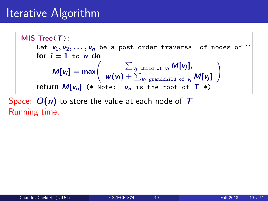MIS-Tree(T): Let  $v_1, v_2, \ldots, v_n$  be a post-order traversal of nodes of T for  $i = 1$  to n do  $M[v_i] = \max\left(\begin{array}{c} \sum_{v_j \text{ child of } v_i} M[v_j], \\ \frac{w(v_i)}{c} + \sum_{v_j \text{ child of } v_j} M[v_j], \end{array}\right)$  $w(v_i) + \sum_{v_j \text{ grandchild of } v_i} M[v_j]$  $\setminus$ return  $M[v_n]$  (\* Note:  $v_n$  is the root of  $T$  \*)

Space:  $O(n)$  to store the value at each node of T Running time: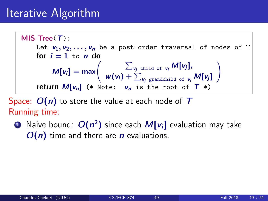MIS-Tree(T): Let  $v_1, v_2, \ldots, v_n$  be a post-order traversal of nodes of T for  $i = 1$  to n do  $M[v_i] = \max\left(\begin{array}{c} \sum_{v_j \text{ child of } v_i} M[v_j], \\ \frac{w(v_i)}{c} + \sum_{v_j \text{ child of } v_j} M[v_j], \end{array}\right)$  $w(v_i) + \sum_{v_j \text{ grandchild of } v_i} M[v_j]$  $\setminus$ return  $M[v_n]$  (\* Note:  $v_n$  is the root of  $T$  \*)

Space:  $O(n)$  to store the value at each node of T Running time:

 $\textcolor{black}{\bullet}$  Naive bound:  $O(n^2)$  since each  $M[\mathsf{v}_i]$  evaluation may take  $O(n)$  time and there are *n* evaluations.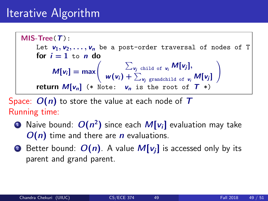MIS-Tree(T): Let  $v_1, v_2, \ldots, v_n$  be a post-order traversal of nodes of T for  $i = 1$  to n do  $M[v_i] = \max\left(\begin{array}{c} \sum_{v_j \text{ child of } v_i} M[v_j], \\ \frac{w(v_i)}{c} + \sum_{v_j \text{ child of } v_j} M[v_j], \end{array}\right)$  $w(v_i) + \sum_{v_j \text{ grandchild of } v_i} M[v_j]$  $\setminus$ return  $M[v_n]$  (\* Note:  $v_n$  is the root of  $T$  \*)

Space:  $O(n)$  to store the value at each node of T Running time:

- $\textcolor{black}{\bullet}$  Naive bound:  $O(n^2)$  since each  $M[\mathsf{v}_i]$  evaluation may take  $O(n)$  time and there are n evaluations.
- **2** Better bound:  $O(n)$ . A value  $M[v_i]$  is accessed only by its parent and grand parent.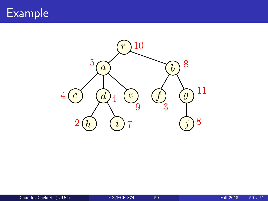